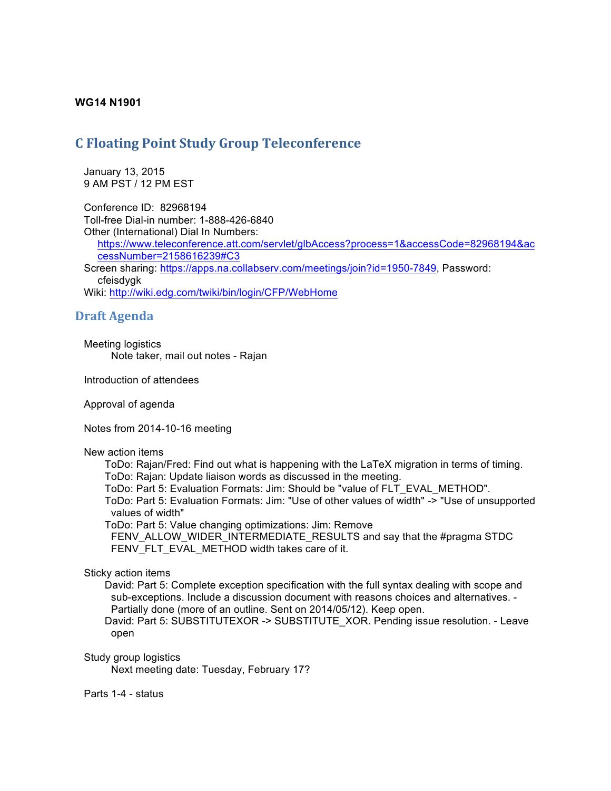## **WG14 N1901**

# **C Floating Point Study Group Teleconference**

 January 13, 2015 9 AM PST / 12 PM EST

 Conference ID: 82968194 Toll-free Dial-in number: 1-888-426-6840 Other (International) Dial In Numbers:

https://www.teleconference.att.com/servlet/glbAccess?process=1&accessCode=82968194&ac cessNumber=2158616239#C3

Screen sharing: https://apps.na.collabserv.com/meetings/join?id=1950-7849, Password: cfeisdygk

Wiki: http://wiki.edg.com/twiki/bin/login/CFP/WebHome

## **Draft Agenda**

 Meeting logistics Note taker, mail out notes - Rajan

Introduction of attendees

Approval of agenda

Notes from 2014-10-16 meeting

### New action items

ToDo: Rajan/Fred: Find out what is happening with the LaTeX migration in terms of timing. ToDo: Rajan: Update liaison words as discussed in the meeting.

ToDo: Part 5: Evaluation Formats: Jim: Should be "value of FLT\_EVAL\_METHOD".

ToDo: Part 5: Evaluation Formats: Jim: "Use of other values of width" -> "Use of unsupported values of width"

ToDo: Part 5: Value changing optimizations: Jim: Remove

FENV\_ALLOW\_WIDER\_INTERMEDIATE\_RESULTS and say that the #pragma STDC FENV\_FLT\_EVAL\_METHOD width takes care of it.

### Sticky action items

David: Part 5: Complete exception specification with the full syntax dealing with scope and sub-exceptions. Include a discussion document with reasons choices and alternatives. - Partially done (more of an outline. Sent on 2014/05/12). Keep open.

David: Part 5: SUBSTITUTEXOR -> SUBSTITUTE\_XOR. Pending issue resolution. - Leave open

Study group logistics

Next meeting date: Tuesday, February 17?

Parts 1-4 - status